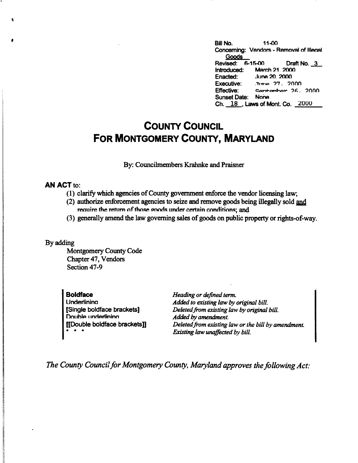**<sup>f</sup>**Bill No. 11-00 Concerning: Vendors - Removal of llleaal Goods **Revised: 6-15-00** Draft No. 3 Introduced: March 21, 2000<br>Enacted: June 20, 2000 Enacted: June **20\_ 2000**  Executive: .'T,1T,... ?7 \_ ?nnn Effective: contambor 26, 2000 Sunset Date: None Ch. 18 . Laws of Mont. Co. 2000

## **COUNTY COUNCIL FOR MONTGOMERY COUNTY, MARYLAND**

By: Councilmembers Krahnke and Praisner

## **AN ACT to:**

- ( 1) clarify which agencies of County government enforce the vendor licensing law;
- (2) authorize enforcement agencies to seize and remove goods being illegally sold and require the return of those goods under certain conditions; and
- (3) generally amend the law governing sales of goods on public property or rights-of-way.

By adding

Montgomery County Code Chapter 47, Vendors Section 47-9

**Boldface Underlining** [Single boldface brackets] **Double underlining** [[Double boldface brackets]] • • •

*Heading or defined term. Added to existing law* by *original bill. Deleted from existing law by original bill. Added* by *amendment. Deleted from existing law or the bill by amendment. Existing law unaffected by bill.* 

*The County Council for Montgomery County, Maryland approves the following Act:*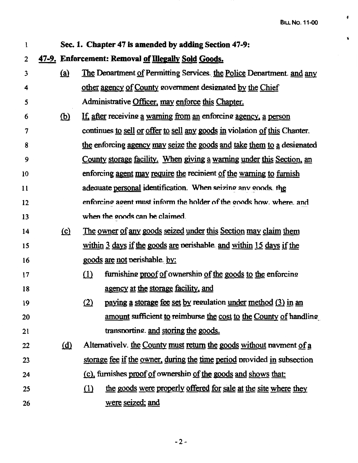$\ddot{\bm{z}}$ 

 $\dot{\mathbf{v}}$ 

| 1  | Sec. 1. Chapter 47 is amended by adding Section 47-9: |                                                                              |  |  |
|----|-------------------------------------------------------|------------------------------------------------------------------------------|--|--|
| 2  | 47-9. Enforcement: Removal of Illegally Sold Goods.   |                                                                              |  |  |
| 3  | <u>(a)</u>                                            | The Department of Permitting Services. the Police Department. and any        |  |  |
| 4  |                                                       | other agency of County government designated by the Chief                    |  |  |
| 5  |                                                       | Administrative Officer, may enforce this Chapter.                            |  |  |
| 6  | <u>(b)</u>                                            | If, after receiving a warning from an enforcing agency, a person             |  |  |
| 7  |                                                       | continues to sell or offer to sell any goods in violation of this Chapter.   |  |  |
| 8  |                                                       | the enforcing agency may seize the goods and take them to a designated       |  |  |
| 9  |                                                       | <u>County storage facility. When giving a warning under this Section, an</u> |  |  |
| 10 |                                                       | enforcing agent may require the recipient of the warning to furnish          |  |  |
| 11 |                                                       | adequate personal identification. When seizing any goods. the                |  |  |
| 12 |                                                       | enforcing agent must inform the holder of the goods how, where, and          |  |  |
| 13 |                                                       | when the goods can be claimed.                                               |  |  |
| 14 | $\Omega$                                              | <u>The owner of any goods seized under this Section may claim them</u>       |  |  |
| 15 |                                                       | within 3 days if the goods are perishable and within 15 days if the          |  |  |
| 16 |                                                       | goods are not perishable. by:                                                |  |  |
| 17 |                                                       | furnishing proof of ownership of the goods to the enforcing<br>$\Omega$      |  |  |
| 18 |                                                       | agency at the storage facility, and                                          |  |  |
| 19 |                                                       | paying a storage fee set by regulation under method (3) in an<br>(2)         |  |  |
| 20 |                                                       | amount sufficient to reimburse the cost to the County of handling            |  |  |
| 21 |                                                       | transporting. and storing the goods.                                         |  |  |
| 22 | <u>(d)</u>                                            | Alternatively. the County must return the goods without payment of a         |  |  |
| 23 |                                                       | storage fee if the owner, during the time period provided in subsection      |  |  |
| 24 |                                                       | (c), furnishes proof of ownership of the goods and shows that:               |  |  |
| 25 |                                                       | the goods were properly offered for sale at the site where they<br>$\Omega$  |  |  |
| 26 |                                                       | were seized; and                                                             |  |  |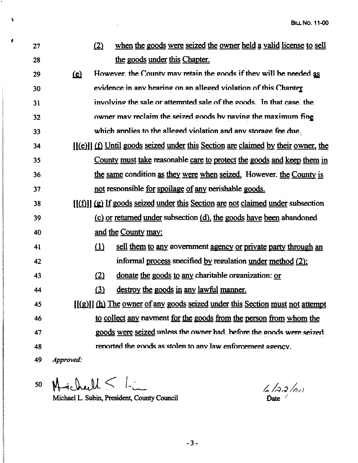| 27 |              | (2)                                                         | when the goods were seized the owner held a valid license to sell                  |
|----|--------------|-------------------------------------------------------------|------------------------------------------------------------------------------------|
| 28 |              | the goods under this Chapter.                               |                                                                                    |
| 29 | $\mathbf{E}$ |                                                             | However, the County may retain the goods if they will be needed as                 |
| 30 |              |                                                             | evidence in any hearing on an alleged violation of this Chanter                    |
| 31 |              |                                                             | involving the sale or attempted sale of the goods. In that case, the               |
| 32 |              |                                                             | owner mav reclaim the seized goods by naving the maximum fing                      |
| 33 |              |                                                             | which annlies to the alleged violation and any storage fee due.                    |
| 34 |              |                                                             | $[(e)]$ (f) Until goods seized under this Section are claimed by their owner, the  |
| 35 |              |                                                             | County must take reasonable care to protect the goods and keep them in             |
| 36 |              |                                                             | the same condition as they were when seized. However, the County is                |
| 37 |              | not responsible for spoilage of any perishable goods.       |                                                                                    |
| 38 |              |                                                             | $[(f)$ ] $(g)$ If goods seized under this Section are not claimed under subsection |
| 39 |              |                                                             | (c) or returned under subsection (d), the goods have been abandoned                |
| 40 |              | and the County may:                                         |                                                                                    |
| 41 |              | $\Omega$                                                    | sell them to any government agency or private party through an                     |
| 42 |              |                                                             | informal process specified by regulation under method (2);                         |
| 43 |              | (2)                                                         | donate the goods to any charitable organization: or                                |
| 44 |              | (3)<br>destroy the goods in any lawful manner.              |                                                                                    |
| 45 |              |                                                             | $[(g)]$ (h) The owner of any goods seized under this Section must not attempt      |
| 46 |              |                                                             | to collect any navment for the goods from the person from whom the                 |
| 47 |              |                                                             | goods were seized unless the owner had. before the goods were seized.              |
| 48 |              | reported the goods as stolen to any law enforcement agency. |                                                                                    |
| 49 | Approved:    |                                                             |                                                                                    |
|    |              |                                                             |                                                                                    |

 $50~$  M ichaeld  $\leq L$ 

 $\lambda$ 

*I* 

Michael L. Subin, President, County Council

 $6122/01)$  $\dot{\text{Date}}$